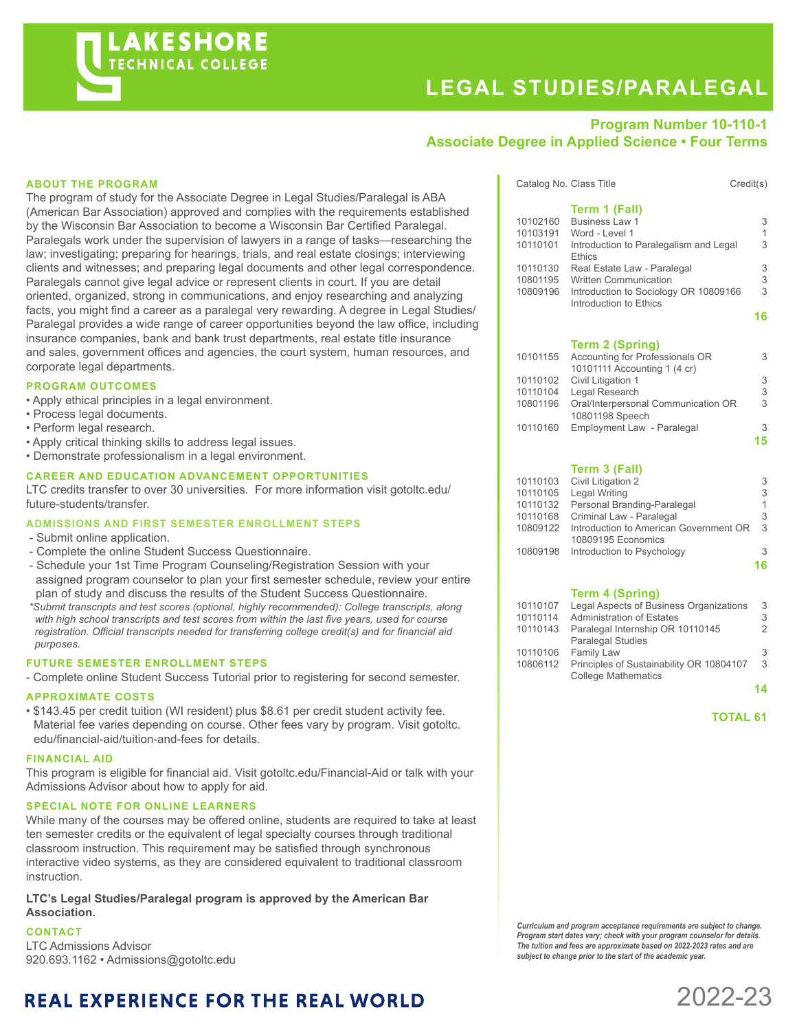

# **LEGAL STUDIES/PARALEGAL**

# **Program Number 10-110-1 Associate Degree in Applied Science • Four Terms**

#### **ABOUT THE PROGRAM**

The program of study for the Associate Degree in Legal Studies/Paralegal is ABA (American Bar Association) approved and complies with the requirements established by the Wisconsin Bar Association to become a Wisconsin Bar Certified Paralegal. Paralegals work under the supervision of lawyers in a range of tasks—researching the law; investigating; preparing for hearings, trials, and real estate closings; interviewing clients and witnesses; and preparing legal documents and other legal correspondence. Paralegals cannot give legal advice or represent clients in court. If you are detail oriented, organized, strong in communications, and enjoy researching and analyzing facts, you might find a career as a paralegal very rewarding. A degree in Legal Studies/ Paralegal provides a wide range of career opportunities beyond the law office, including insurance companies, bank and bank trust departments, real estate title insurance and sales, government offices and agencies, the court system, human resources, and corporate legal departments.

#### **PROGRAM OUTCOMES**

- Apply ethical principles in a legal environment.
- Process legal documents.
- Perform legal research.
- Apply critical thinking skills to address legal issues.
- Demonstrate professionalism in a legal environment.

#### **CAREER AND EDUCATION ADVANCEMENT OPPORTUNITIES**

LTC credits transfer to over 30 universities. For more information visit gotoltc.edu/ future-students/transfer.

## **ADMISSIONS AND FIRST SEMESTER ENROLLMENT STEPS**

- Submit online application.
- Complete the online Student Success Questionnaire.
- Schedule your 1st Time Program Counseling/Registration Session with your assigned program counselor to plan your first semester schedule, review your entire plan of study and discuss the results of the Student Success Questionnaire.
- *\*Submit transcripts and test scores (optional, highly recommended): College transcripts, along with high school transcripts and test scores from within the last five years, used for course registration. Official transcripts needed for transferring college credit(s) and for financial aid purposes.*

#### **FUTURE SEMESTER ENROLLMENT STEPS**

- Complete online Student Success Tutorial prior to registering for second semester.

#### **APPROXIMATE COSTS**

• \$143.45 per credit tuition (WI resident) plus \$8.61 per credit student activity fee. Material fee varies depending on course. Other fees vary by program. Visit gotoltc. edu/financial-aid/tuition-and-fees for details.

#### **FINANCIAL AID**

This program is eligible for financial aid. Visit gotoltc.edu/Financial-Aid or talk with your Admissions Advisor about how to apply for aid.

#### **SPECIAL NOTE FOR ONLINE LEARNERS**

While many of the courses may be offered online, students are required to take at least ten semester credits or the equivalent of legal specialty courses through traditional classroom instruction. This requirement may be satisfied through synchronous interactive video systems, as they are considered equivalent to traditional classroom instruction.

**LTC's Legal Studies/Paralegal program is approved by the American Bar Association.**

#### **CONTACT**

LTC Admissions Advisor 920.693.1162 • Admissions@gotoltc.edu

# **REAL EXPERIENCE FOR THE REAL WORLD**

|          | Catalog No. Class Title<br>Credit(s)                            |   |
|----------|-----------------------------------------------------------------|---|
|          | Term 1 (Fall)                                                   |   |
| 10102160 | Business Law 1                                                  | 3 |
| 10103191 | Word - Level 1                                                  | 1 |
| 10110101 | Introduction to Paralegalism and Legal                          | 3 |
|          | <b>Ethics</b>                                                   |   |
| 10110130 | Real Estate Law - Paralegal                                     | 3 |
| 10801195 | <b>Written Communication</b>                                    | 3 |
| 10809196 | Introduction to Sociology OR 10809166<br>Introduction to Ethics | 3 |
|          |                                                                 |   |

**16**

#### **Term 2 (Spring)**

|          | 10101155 Accounting for Professionals OR | 3  |
|----------|------------------------------------------|----|
|          | 10101111 Accounting 1 (4 cr)             |    |
|          | 10110102 Civil Litigation 1              | 3  |
| 10110104 | Legal Research                           | 3  |
| 10801196 | Oral/Interpersonal Communication OR      | 3  |
|          | 10801198 Speech                          |    |
| 10110160 | Employment Law - Paralegal               | 3  |
|          |                                          | 15 |
|          |                                          |    |

### **Term 3 (Fall)**

|          | 10110103 Civil Litigation 2                     | 3  |
|----------|-------------------------------------------------|----|
|          | 10110105 Legal Writing                          | 3  |
|          | 10110132 Personal Branding-Paralegal            | 1  |
| 10110168 | Criminal Law - Paralegal                        | 3  |
|          | 10809122 Introduction to American Government OR | 3  |
|          | 10809195 Economics                              |    |
|          | 10809198 Introduction to Psychology             | 3  |
|          |                                                 | 16 |
|          |                                                 |    |

#### **Term 4 (Spring)**

| 10110107 | Legal Aspects of Business Organizations  | 3 |
|----------|------------------------------------------|---|
| 10110114 | <b>Administration of Estates</b>         | 3 |
| 10110143 | Paralegal Internship OR 10110145         | 2 |
|          | <b>Paralegal Studies</b>                 |   |
| 10110106 | <b>Family Law</b>                        | 3 |
| 10806112 | Principles of Sustainability OR 10804107 | 3 |
|          | <b>College Mathematics</b>               |   |
|          |                                          |   |

**14**

# **TOTAL 61**

*Curriculum and program acceptance requirements are subject to change. Program start dates vary; check with your program counselor for details. The tuition and fees are approximate based on 2022-2023 rates and are subject to change prior to the start of the academic year.*